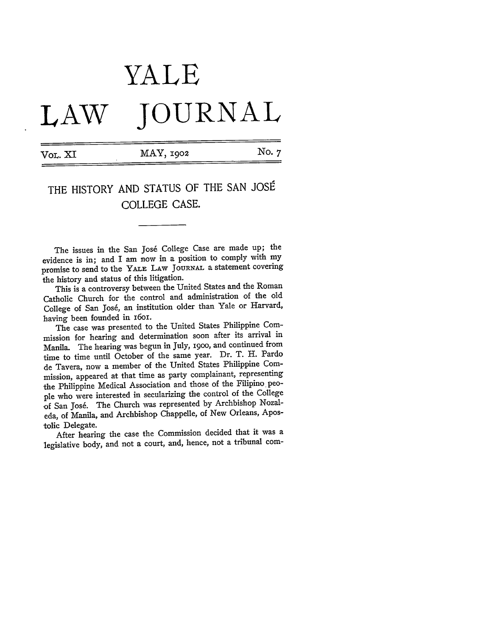## **YALE** LAW **JOURNAL**

| $\rm{V}o$ l. XI | MAY, 1902 | No. $7$ |
|-----------------|-----------|---------|
|                 |           |         |

## THE HISTORY **AND STATUS** OF THE **SAN JOSE COLLEGE CASE.**

The issues in the San José College Case are made up; the evidence is in; and I am now in a position to comply with my promise to send to the YALE **LAW JOURNAL** a statement covering the history and status of this litigation.

This is a controversy between the United States and the Roman Catholic Church for the control and administration of the old College of San Jos6, an institution older than Yale or Harvard, having been founded in 1601.

The case was presented to the United States Philippine Commission for hearing and determination soon after its arrival in Manila. The hearing was begun in July, i9oo, and continued from time to time until October of the same year. Dr. T. H. Pardo de Tavera, now a member of the United States Philippine Commission, appeared at that time as party complainant, representing the Philippine Medical Association and those of the Filipino people who were interested in secularizing the control of the College of San Jos6. The Church was represented **by** Archbishop Nozaleda, of Manila, and Archbishop Chappelle, of New Orleans, Apostolic Delegate.

After hearing the case the Commission decided that it was a legislative body, and not a court, and, hence, not a tribunal com-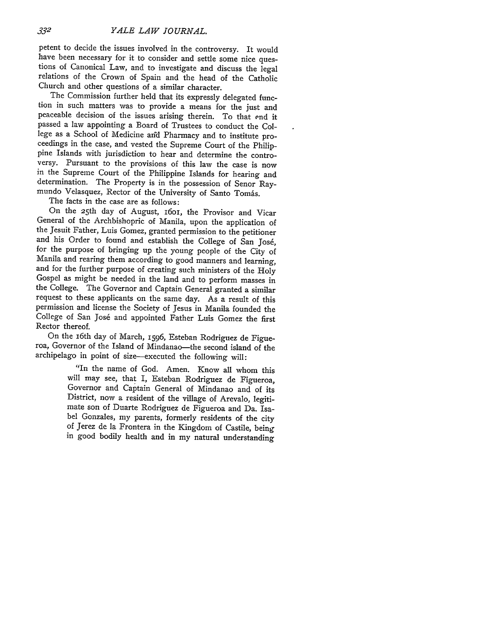petent to decide the issues involved in the controversy. It would have been necessary for it to consider and settle some nice ques- tions of Canonical Law, and to investigate and discuss the legal relations of the Crown of Spain and the head of the Catholic Church and other questions of a similar character.

The Commission further held that its expressly delegated function in such matters was to provide a means for the just and peaceable decision of the issues arising therein. To that end it passed a law appointing a Board of Trustees to conduct the College as a School of Medicine and Pharmacy and to institute pro-<br>ceedings in the case, and vested the Supreme Court of the Philip-<br>pine Islands with jurisdiction to hear and determine the controversy. Pursuant to the provisions of this law the case is now in the Supreme Court of the Philippine Islands for hearing and determination. The Property is in the possession of Senor Ray-<br>mundo Velasquez, Rector of the University of Santo Tomás.

The facts in the case are as follows:

On the 25th day of August, 1601, the Provisor and Vicar General of the Archbishopric of Manila, upon the application of the Jesuit Father, Luis Gomez, granted permission to the petitioner and his Order to found and establish the College of San Jos6, for the purpose of bringing up the young people of the City of Manila and rearing them according to good manners and learning, and for the further purpose of creating such ministers of the Holy Gospel as might be needed in the land and to perform masses in the College. The Governor and Captain General granted a similar request to these applicants on the same day. As a result of this permission and license the Society of Jesus in Manila founded the College of San José and appointed Father Luis Gomez the first Rector thereof.

On the i6th day of March, 1596, Esteban Rodriguez de Figueroa, Governor of the Island of Mindanao-the second island of the archipelago in point of size-executed the following will:

> 'fIn the name of God. Amen. Know all whom this will may see, that I, Esteban Rodriguez de Figueroa, Governor and Captain General of Mindanao and of its District, now a resident of the village of Arevalo, legitimate son of Duarte Rodriguez de Figueroa and Da. Isaof Jerez de la Frontera in the Kingdom of Castile, being in good bodily health and in my natural understanding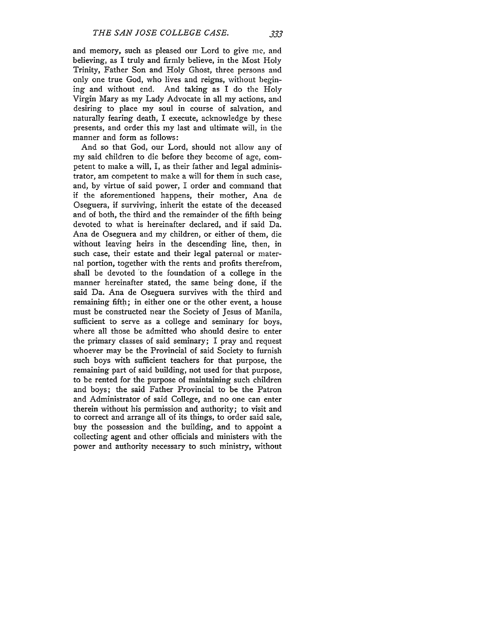and memory, such as pleased our Lord to give me, and believing, as I truly and firmly believe, in the Most Holy Trinity, Father Son and Holy Ghost, three persons and only one true God, who lives and reigns, without begining and without end. And taking as I do the Holy Virgin Mary as my Lady Advocate in all my actions, and desiring to place my soul in course of salvation, and naturally fearing death, I execute, acknowledge by these presents, and order this my last and ultimate will, in the manner and form as follows:

And so that God, our Lord, should not allow any of my said children to die before they become of age, competent to make a will, I, as their father and legal administrator, am competent to make a will for them in such case, and, by virtue of said power, I order and command that if the aforementioned happens, their mother, Ana de Oseguera, if surviving, inherit the estate of the deceased and of both, the third and the remainder of the fifth being devoted to what is hereinafter declared, and if said Da. Ana de Oseguera and my children, or either of them, die without leaving heirs in the descending line, then, in such case, their estate and their legal paternal or maternal portion, together with the rents and profits therefrom, shall be devoted 'to the foundation of a college in the manner hereinafter stated, the same being done, if the said Da. Ana de Oseguera survives with the third and remaining fifth; in either one or the other event, a house must be constructed near the Society of Jesus of Manila, sufficient to serve as a college and seminary for boys, where all those be admitted who should desire to enter the primary classes of said seminary; I pray and request whoever may be the Provincial of said Society to furnish such boys with sufficient teachers for that purpose, the remaining part of said building, not used for that purpose, to be rented for the purpose of maintaining such children and boys; the said Father Provincial to be the Patron and Administrator of said College, and no one can enter therein without his permission and authority; to visit and to correct and arrange all of its things, to order said sale, buy the possession and the building, and to appoint a collecting agent and other officials and ministers with the power and authority necessary to such ministry, without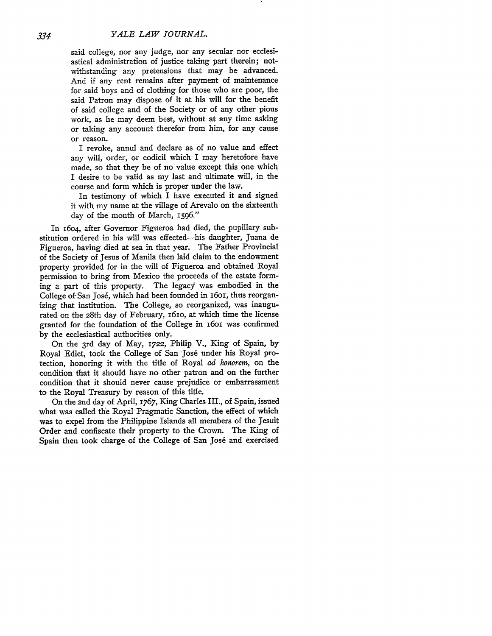said college, nor any judge, nor any secular nor ecclesiastical administration of justice taking part therein; notwithstanding any pretensions that may be advanced. And if any rent remains after payment of maintenance for said boys and of clothing for those who are poor, the said Patron may dispose of it at his will for the benefit of said college and of the Society or of any other pious work, as he may deem best, without at any time asking or taking any account therefor from him, for any cause or reason.

I revoke, annul and declare as of no value and effect any will, order, or codicil which I may heretofore have made, so that they be of no value except this one which I desire to be valid as my last and ultimate will, in the course and form which is proper under the law.

In testimony of which I have executed it and signed it with my name at the village of Arevalo on the sixteenth day of the month of March, 1596."

In 1604, after Governor Figueroa had died, the pupillary substitution ordered in his will was effected-his daughter, Juana de Figueroa, having died at sea in that year. The Father Provincial of the Society of Jesus of Manila then laid claim to the endowment property provided for in the will of Figueroa and obtained Royal permission to bring from Mexico the proceeds of the estate forming a part of this property. The legacy was embodied in the College of San José, which had been founded in 1601, thus reorganizing that institution. The College, so reorganized, was inaugurated on the 28th day of February, 16io, at which time the license granted for the foundation of the College in i6oi was confirmed by the ecclesiastical authorities only.

On the 3rd day of May, 1722, Philip V., King of Spain, by Royal Edict, took the College of San 'Jos6 under his Royal protection, honoring it with the title of Royal *ad honorem,* on the condition that it should have no other patron and on the further condition that it should never cause prejudice or embarrassment to the Royal Treasury by reason of this title.

On the 2nd day of April, *1767,* King Charles III., of Spain, issued what was called the Royal Pragmatic Sanction, the effect of which was to expel from the Philippine Islands all members of the Jesuit Order and confiscate their property to the Crown. The King of Spain then took charge of the College of San José and exercised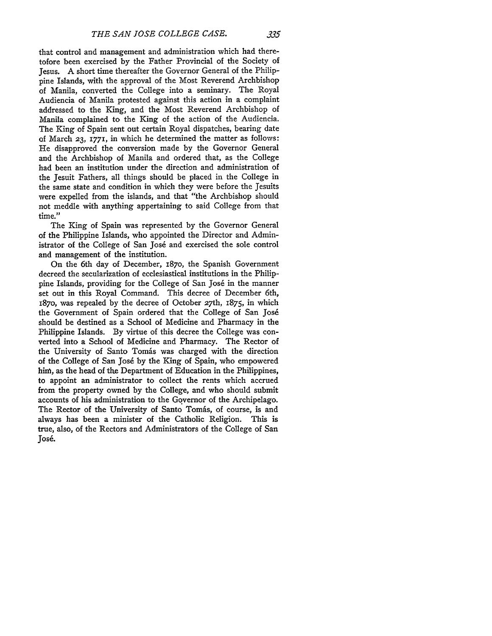that control and management and administration which had theretofore been exercised by the Father Provincial of the Society of Jesus. A short time thereafter the Governor General of the Philippine Islands, with the approval of the Most Reverend Archbishop of Manila, converted the College into a seminary. The Royal Audiencia of Manila protested against this action in a complaint addressed to the King, and the Most Reverend Archbishop of Manila complained to the King of the action of the Audiencia. The King of Spain sent out certain Royal dispatches, bearing date of March **23, 1771,** in which he determined the matter as follows: He disapproved the conversion made by the Governor General and the Archbishop of Manila and ordered that, as the College had been an institution under the direction and administration of the Jesuit Fathers, all things should be placed in the College in the same state and condition in which they were before the Jesuits were expelled from the islands, and that "the Archbishop should not meddle with anything appertaining to said College from that time."

The King of Spain was represented by the Governor General of the Philippine Islands, who appointed the Director and Administrator of the College of San José and exercised the sole control and management of the institution.

On the 6th day of December, i87o, the Spanish Government decreed the secularization of ecclesiastical institutions in the Philippine Islands, providing for the College of San José in the manner set out in this Royal Command. This decree of December 6th, 187o, was repealed by the decree of October 27th, 1875, in which the Government of Spain ordered that the College of San Jos6 should be destined as a School of Medicine and Pharmacy in the Philippine Islands. By virtue of this decree the College was converted into a School of Medicine and Pharmacy. The Rector of the University of Santo Tomás was charged with the direction of the College of San Jos6 by the King of Spain, who empowered him, as the head of the Department of Education in the Philippines, to appoint an administrator to collect the rents which accrued from the property owned by the College, and who should submit accounts of his administration to the Governor of the Archipelago. The Rector of the University of Santo Tomás, of course, is and always has been a minister of the Catholic Religion. This is true, also, of the Rectors and Administrators of the College of San *Jos6.*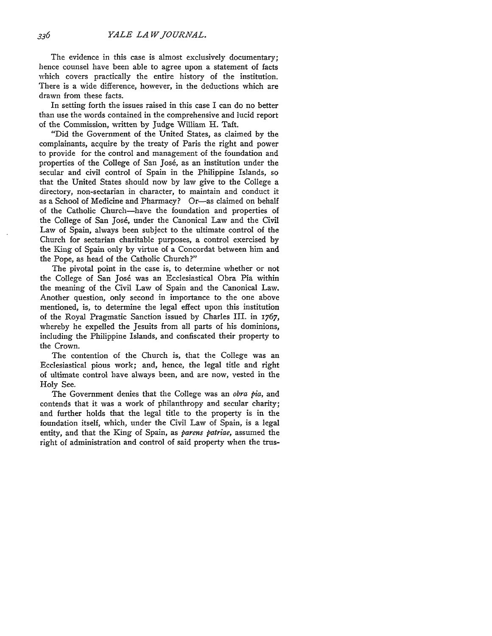The evidence in this case is almost exclusively documentary; hence counsel have been able to agree upon a statement of facts which covers practically the entire history of the institution. There is a wide difference, however, in the deductions which are drawn from these facts.

In setting forth the issues raised in this case I can do no better than use the words contained in the comprehensive and lucid report of the Commission, written by Judge William H. Taft.

"Did the Government of the United States, as claimed by the complainants, acquire by the treaty of Paris the right and power to provide for the control and management of the foundation and properties of the College of San Jos6, as an institution under the secular and civil control of Spain in the Philippine Islands, so that the United States should now by law give to the College a directory, non-sectarian in character, to maintain and conduct it as a School of Medicine and Pharmacy? Or-as claimed on behalf of the Catholic Church-have the foundation and properties of the College of San Jos6, under the Canonical Law and the Civil Law of Spain, always been subject to the ultimate control of the Church for sectarian charitable purposes, a control exercised by the King of Spain only by virtue of a Concordat between him and the Pope, as head of the Catholic Church?"

The pivotal point in the case is, to determine whether or not the College of San José was an Ecclesiastical Obra Pia within the meaning of the Civil Law of Spain and the Canonical Law. Another question, only second in importance to the one above mentioned, is, to determine the legal effect upon this institution of the Royal Pragmatic Sanction issued by Charles III. in 1767, whereby he expelled the Jesuits from all parts of his dominions, including the Philippine Islands, and confiscated their property to the Crown.

The contention of the Church is, that the College was an Ecclesiastical pious work; and, hence, the legal title and right of ultimate control have always been, and are now, vested in the Holy See.

The Government denies that the College was an *obra pia,* and contends that it was a work of philanthropy and secular charity; and further holds that the legal title to the property is in the foundation itself, which, under the Civil Law of Spain, is a legal entity, and that the King of Spain, as *parens patriae,* assumed the right of administration and control of said property when the trus-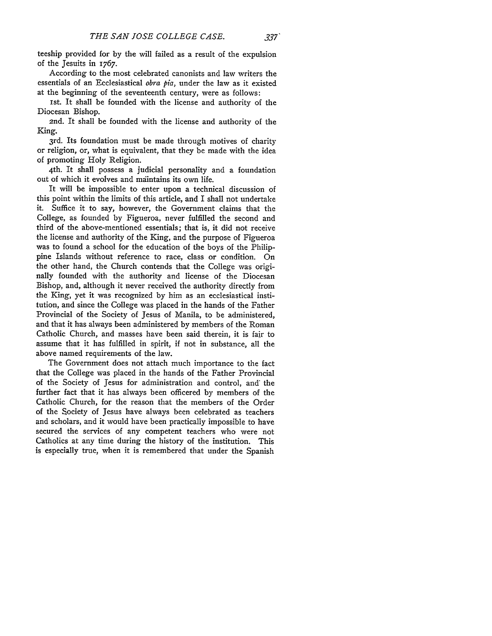teeship provided for by the will failed as a result of the expulsion of the Jesuits in 1767.

According to the most celebrated canonists and law writers the essentials of an Ecclesiastical *obra pia,* under the law as it existed at the beginning of the seventeenth century, were as follows:

Ist. It shall be founded with the license and authority of the Diocesan Bishop.

2nd. It shall be founded with the license and authority of the King.

3rd. Its foundation must be made through motives of charity or religion, or, what is equivalent, that they be made with the idea of promoting Holy Religion.

4th. It shall possess a judicial personality and a foundation out of which it evolves and maintains its own life.

It will be impossible to enter upon a technical discussion of this point within the limits of this article, and I shall not undertake it. Suffice it to say, however, the Government claims that the College, as founded by Figueroa, never fulfilled the second and third of the above-mentioned essentials; that is, it did not receive the license and authority of the King, and the purpose of Figueroa was to found a school for the education of the boys of the Philippine Islands without reference to race, class or condition. On the other hand, the Church contends that the College was originally founded with the authority and license of the Diocesan Bishop, and, although it never received the authority directly from the King, yet it was recognized by him as an ecclesiastical institution, and since the College was placed in the hands of the Father Provincial of the Society of Jesus of Manila, to be administered, and that it has always been administered by members of the Roman Catholic Church, and masses have been said therein, it is fair to assume that it has fulfilled in spirit, if not in substance, all the above named requirements of the law.

The Government does not attach much importance to the fact that the College was placed in the hands of the Father Provincial of the Society of Jesus for administration and control, and' the further fact that it has always been officered by members of the Catholic Church, for the reason that the members of the Order of the Society of Jesus have always been celebrated as teachers and scholars, and it would have been practically impossible to have secured the services of any competent teachers who were not Catholics at any time during the history of the institution. This is especially true, when it is remembered that under the Spanish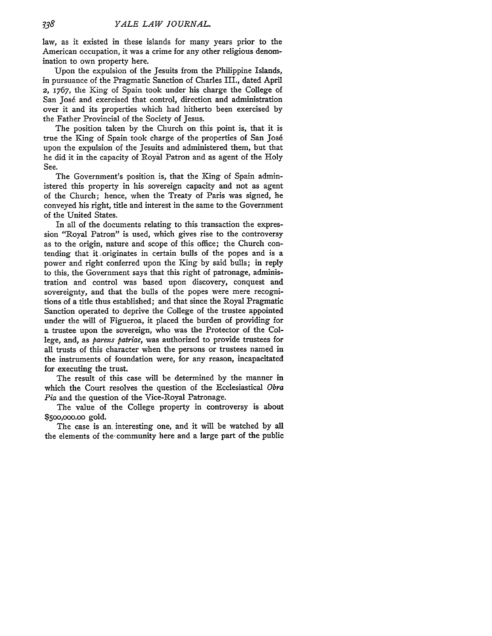law, as it existed in these islands for many years prior to the American occupation, it was a crime for any other religious denomination to own property here.

Upon the expulsion of the Jesuits from the Philippine Islands, in pursuance of the Pragmatic Sanction of Charles III., dated April 2, 1767, the King of Spain took under his charge the College of San Jos6 and exercised that control, direction and administration over it and its properties which had hitherto been exercised by the Father Provincial of the Society of Jesus.

The position taken by the Church on this point is, that it is true the King of Spain took charge of the properties of San Jos6 upon the expulsion of the Jesuits and administered them, but that he did it in the capacity of Royal Patron and as agent of the Holy See.

The Government's position is, that the King of Spain administered this property in his sovereign capacity and not as agent of the Church; hence, when the Treaty of Paris was signed, he conveyed his right, title and interest in the same to the Government of the United States.

In all of the documents relating to this transaction the expression "Royal Patron" is used, which gives rise to the controversy as to the origin, nature and scope of this office; the Church contending that it-originates in certain bulls of the popes and is a power and right conferred upon the King by said bulls; in reply to this, the Government says that this right of patronage, administration and control was based upon discovery, conquest and sovereignty, and that the bulls of the popes were mere recognitions of a title thus established; and that since the Royal Pragmatic Sanction operated to deprive the College of the trustee appointed under the will of Figueroa, it placed the burden of providing for a trustee upon the sovereign, who was the Protector of the College, and, as *parens patriae,* was authorized to provide trustees for all trusts of this character when the persons or trustees named in the instruments of foundation were, for any reason, incapacitated for executing the trust.

The result of this case will be determined **by** the manner in which the Court resolves the question of the Ecclesiastical *Obra Pia* and the question of the Vice-Royal Patronage.

The value of the College property in controversy is about \$5oo,ooo.oo gold.

The case is an. interesting one, and it will be watched **by** all the elements of the-community here and a large part of the public